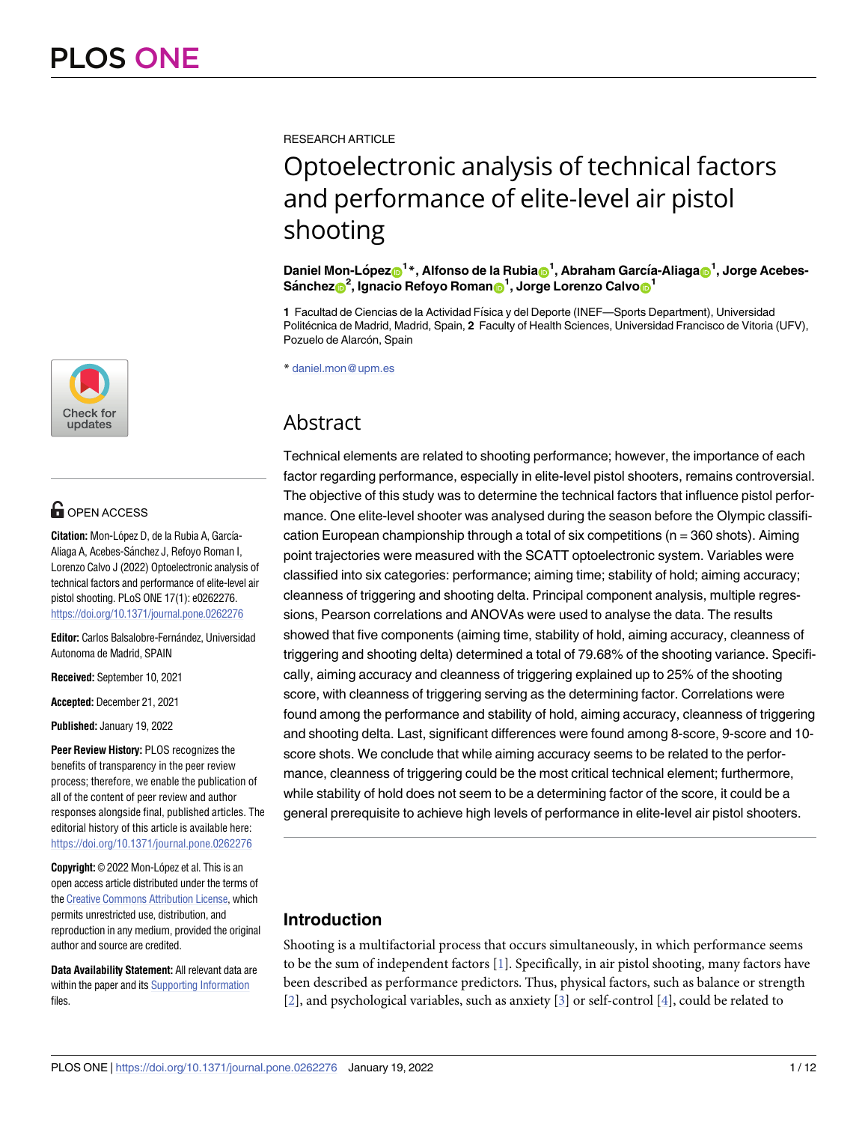

# **OPEN ACCESS**

**Citation:** Mon-López D, de la Rubia A, García-Aliaga A, Acebes-Sánchez J, Refoyo Roman I, Lorenzo Calvo J (2022) Optoelectronic analysis of technical factors and performance of elite-level air pistol shooting. PLoS ONE 17(1): e0262276. <https://doi.org/10.1371/journal.pone.0262276>

Editor: Carlos Balsalobre-Fernández, Universidad Autonoma de Madrid, SPAIN

**Received:** September 10, 2021

**Accepted:** December 21, 2021

**Published:** January 19, 2022

**Peer Review History:** PLOS recognizes the benefits of transparency in the peer review process; therefore, we enable the publication of all of the content of peer review and author responses alongside final, published articles. The editorial history of this article is available here: <https://doi.org/10.1371/journal.pone.0262276>

**Copyright:** © 2022 Mon-López et al. This is an open access article distributed under the terms of the Creative [Commons](http://creativecommons.org/licenses/by/4.0/) Attribution License, which permits unrestricted use, distribution, and reproduction in any medium, provided the original author and source are credited.

**Data Availability Statement:** All relevant data are within the paper and its Supporting [Information](#page-10-0) files.

<span id="page-0-0"></span>RESEARCH ARTICLE

# Optoelectronic analysis of technical factors and performance of elite-level air pistol shooting

 $\Delta$ Daniel Mon-López $\textbf{D}^{1\ast}$ , Alfonso de la Rubia $\textbf{D}^{1}$ , Abraham García-Aliaga $\textbf{D}^{1}$ , Jorge Acebes- $\frac{1}{2}$ , **Ignacio Refoyo** Roman $\frac{1}{2}$ , Jorge Lorenzo Calvo $\frac{1}{2}$ 

1 Facultad de Ciencias de la Actividad Física y del Deporte (INEF—Sports Department), Universidad Politécnica de Madrid, Madrid, Spain, 2 Faculty of Health Sciences, Universidad Francisco de Vitoria (UFV), Pozuelo de Alarcón, Spain

\* daniel.mon@upm.es

# Abstract

Technical elements are related to shooting performance; however, the importance of each factor regarding performance, especially in elite-level pistol shooters, remains controversial. The objective of this study was to determine the technical factors that influence pistol performance. One elite-level shooter was analysed during the season before the Olympic classification European championship through a total of six competitions ( $n = 360$  shots). Aiming point trajectories were measured with the SCATT optoelectronic system. Variables were classified into six categories: performance; aiming time; stability of hold; aiming accuracy; cleanness of triggering and shooting delta. Principal component analysis, multiple regressions, Pearson correlations and ANOVAs were used to analyse the data. The results showed that five components (aiming time, stability of hold, aiming accuracy, cleanness of triggering and shooting delta) determined a total of 79.68% of the shooting variance. Specifically, aiming accuracy and cleanness of triggering explained up to 25% of the shooting score, with cleanness of triggering serving as the determining factor. Correlations were found among the performance and stability of hold, aiming accuracy, cleanness of triggering and shooting delta. Last, significant differences were found among 8-score, 9-score and 10 score shots. We conclude that while aiming accuracy seems to be related to the performance, cleanness of triggering could be the most critical technical element; furthermore, while stability of hold does not seem to be a determining factor of the score, it could be a general prerequisite to achieve high levels of performance in elite-level air pistol shooters.

## **Introduction**

Shooting is a multifactorial process that occurs simultaneously, in which performance seems to be the sum of independent factors [\[1\]](#page-10-0). Specifically, in air pistol shooting, many factors have been described as performance predictors. Thus, physical factors, such as balance or strength [\[2](#page-10-0)], and psychological variables, such as anxiety [\[3\]](#page-10-0) or self-control [[4](#page-11-0)], could be related to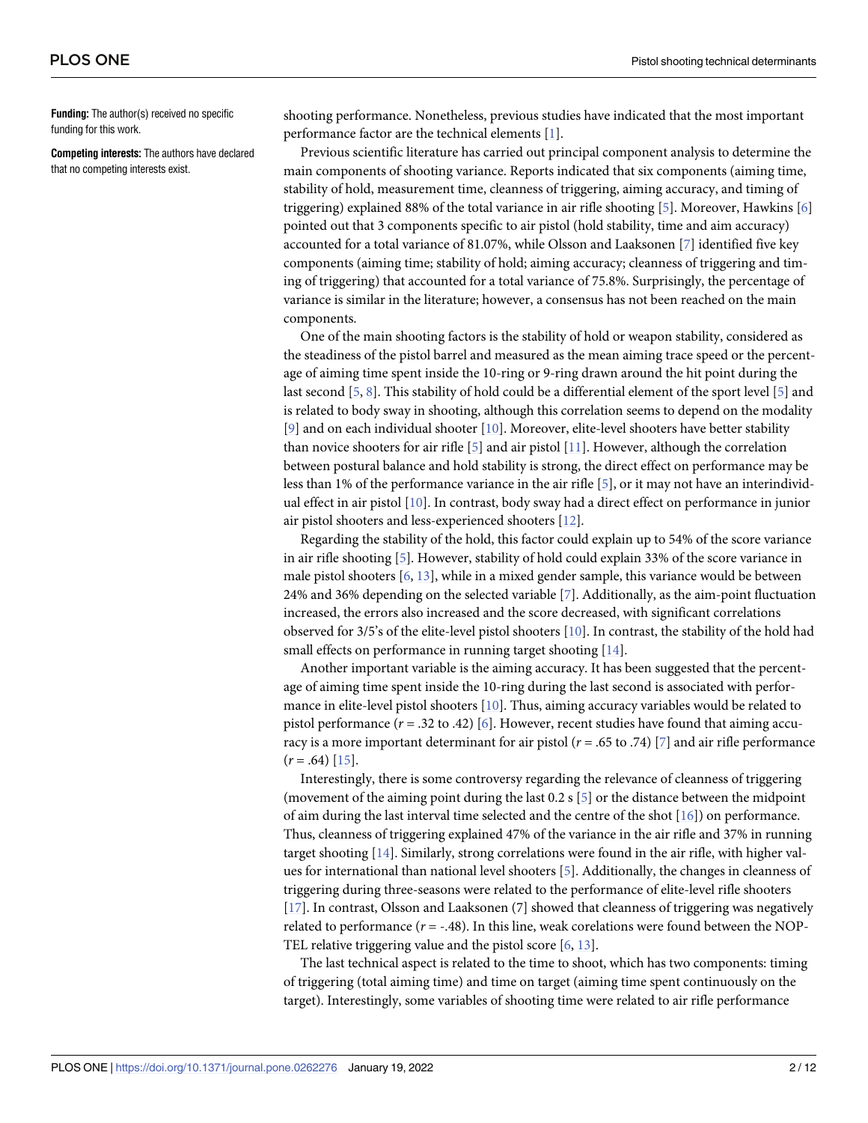<span id="page-1-0"></span>**Funding:** The author(s) received no specific funding for this work.

**Competing interests:** The authors have declared that no competing interests exist.

shooting performance. Nonetheless, previous studies have indicated that the most important performance factor are the technical elements [\[1](#page-10-0)].

Previous scientific literature has carried out principal component analysis to determine the main components of shooting variance. Reports indicated that six components (aiming time, stability of hold, measurement time, cleanness of triggering, aiming accuracy, and timing of triggering) explained 88% of the total variance in air rifle shooting [[5](#page-11-0)]. Moreover, Hawkins [\[6](#page-11-0)] pointed out that 3 components specific to air pistol (hold stability, time and aim accuracy) accounted for a total variance of 81.07%, while Olsson and Laaksonen [\[7](#page-11-0)] identified five key components (aiming time; stability of hold; aiming accuracy; cleanness of triggering and timing of triggering) that accounted for a total variance of 75.8%. Surprisingly, the percentage of variance is similar in the literature; however, a consensus has not been reached on the main components.

One of the main shooting factors is the stability of hold or weapon stability, considered as the steadiness of the pistol barrel and measured as the mean aiming trace speed or the percentage of aiming time spent inside the 10-ring or 9-ring drawn around the hit point during the last second [\[5,](#page-11-0) [8](#page-11-0)]. This stability of hold could be a differential element of the sport level [[5](#page-11-0)] and is related to body sway in shooting, although this correlation seems to depend on the modality [\[9](#page-11-0)] and on each individual shooter [[10](#page-11-0)]. Moreover, elite-level shooters have better stability than novice shooters for air rifle [[5\]](#page-11-0) and air pistol [\[11\]](#page-11-0). However, although the correlation between postural balance and hold stability is strong, the direct effect on performance may be less than 1% of the performance variance in the air rifle  $[5]$  $[5]$  $[5]$ , or it may not have an interindividual effect in air pistol [[10](#page-11-0)]. In contrast, body sway had a direct effect on performance in junior air pistol shooters and less-experienced shooters [\[12\]](#page-11-0).

Regarding the stability of the hold, this factor could explain up to 54% of the score variance in air rifle shooting [[5\]](#page-11-0). However, stability of hold could explain 33% of the score variance in male pistol shooters [[6,](#page-11-0) [13](#page-11-0)], while in a mixed gender sample, this variance would be between 24% and 36% depending on the selected variable [\[7\]](#page-11-0). Additionally, as the aim-point fluctuation increased, the errors also increased and the score decreased, with significant correlations observed for 3/5's of the elite-level pistol shooters [\[10\]](#page-11-0). In contrast, the stability of the hold had small effects on performance in running target shooting [[14](#page-11-0)].

Another important variable is the aiming accuracy. It has been suggested that the percentage of aiming time spent inside the 10-ring during the last second is associated with performance in elite-level pistol shooters [[10](#page-11-0)]. Thus, aiming accuracy variables would be related to pistol performance  $(r = .32 \text{ to } .42)$  [[6\]](#page-11-0). However, recent studies have found that aiming accuracy is a more important determinant for air pistol (*r* = .65 to .74) [\[7](#page-11-0)] and air rifle performance  $(r=.64)$  [\[15\]](#page-11-0).

Interestingly, there is some controversy regarding the relevance of cleanness of triggering (movement of the aiming point during the last 0.2 s [[5\]](#page-11-0) or the distance between the midpoint of aim during the last interval time selected and the centre of the shot [\[16](#page-11-0)]) on performance. Thus, cleanness of triggering explained 47% of the variance in the air rifle and 37% in running target shooting [[14](#page-11-0)]. Similarly, strong correlations were found in the air rifle, with higher values for international than national level shooters [[5\]](#page-11-0). Additionally, the changes in cleanness of triggering during three-seasons were related to the performance of elite-level rifle shooters [\[17\]](#page-11-0). In contrast, Olsson and Laaksonen (7] showed that cleanness of triggering was negatively related to performance  $(r = -.48)$ . In this line, weak corelations were found between the NOP-TEL relative triggering value and the pistol score [\[6,](#page-11-0) [13\]](#page-11-0).

The last technical aspect is related to the time to shoot, which has two components: timing of triggering (total aiming time) and time on target (aiming time spent continuously on the target). Interestingly, some variables of shooting time were related to air rifle performance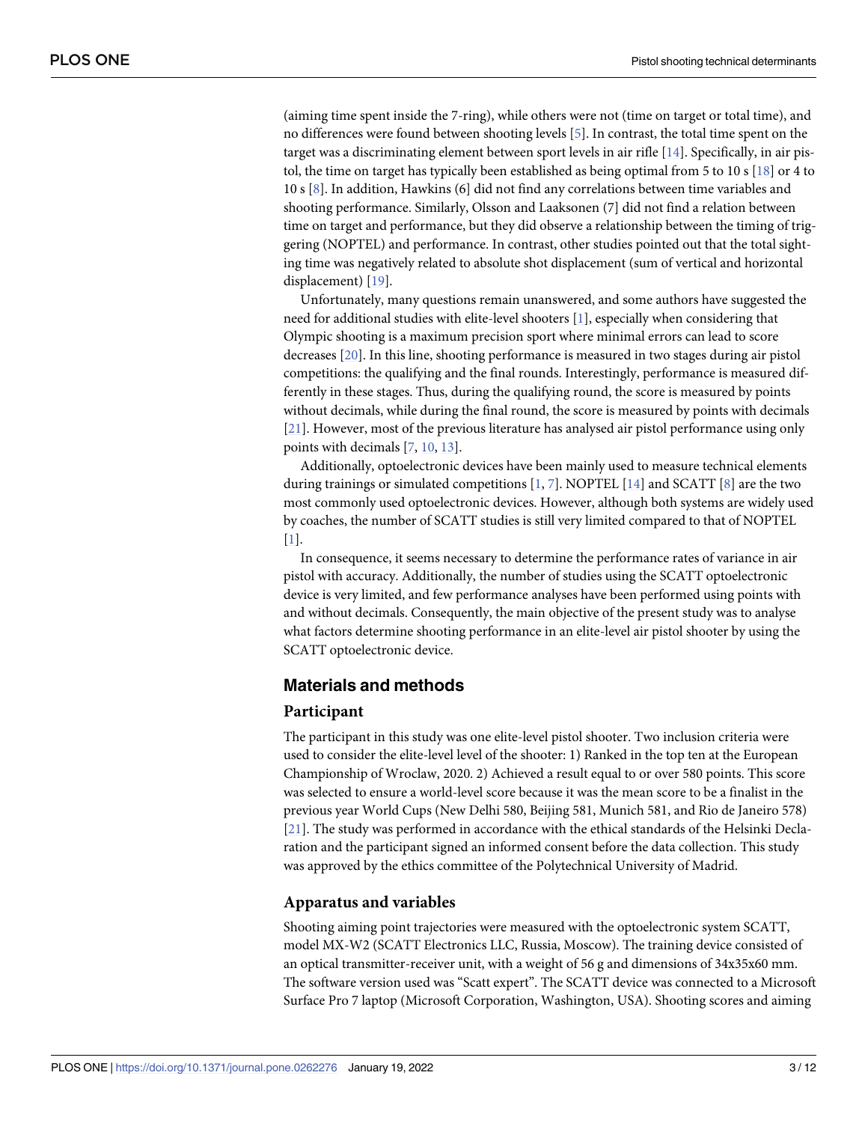<span id="page-2-0"></span>(aiming time spent inside the 7-ring), while others were not (time on target or total time), and no differences were found between shooting levels [\[5](#page-11-0)]. In contrast, the total time spent on the target was a discriminating element between sport levels in air rifle [\[14\]](#page-11-0). Specifically, in air pistol, the time on target has typically been established as being optimal from 5 to 10 s [[18](#page-11-0)] or 4 to 10 s [[8\]](#page-11-0). In addition, Hawkins (6] did not find any correlations between time variables and shooting performance. Similarly, Olsson and Laaksonen (7] did not find a relation between time on target and performance, but they did observe a relationship between the timing of triggering (NOPTEL) and performance. In contrast, other studies pointed out that the total sighting time was negatively related to absolute shot displacement (sum of vertical and horizontal displacement) [[19](#page-11-0)].

Unfortunately, many questions remain unanswered, and some authors have suggested the need for additional studies with elite-level shooters [\[1](#page-10-0)], especially when considering that Olympic shooting is a maximum precision sport where minimal errors can lead to score decreases [\[20\]](#page-11-0). In this line, shooting performance is measured in two stages during air pistol competitions: the qualifying and the final rounds. Interestingly, performance is measured differently in these stages. Thus, during the qualifying round, the score is measured by points without decimals, while during the final round, the score is measured by points with decimals [\[21\]](#page-11-0). However, most of the previous literature has analysed air pistol performance using only points with decimals [[7,](#page-11-0) [10,](#page-11-0) [13](#page-11-0)].

Additionally, optoelectronic devices have been mainly used to measure technical elements during trainings or simulated competitions [\[1](#page-10-0), [7](#page-11-0)]. NOPTEL [\[14\]](#page-11-0) and SCATT [[8\]](#page-11-0) are the two most commonly used optoelectronic devices. However, although both systems are widely used by coaches, the number of SCATT studies is still very limited compared to that of NOPTEL [\[1](#page-10-0)].

In consequence, it seems necessary to determine the performance rates of variance in air pistol with accuracy. Additionally, the number of studies using the SCATT optoelectronic device is very limited, and few performance analyses have been performed using points with and without decimals. Consequently, the main objective of the present study was to analyse what factors determine shooting performance in an elite-level air pistol shooter by using the SCATT optoelectronic device.

### **Materials and methods**

#### **Participant**

The participant in this study was one elite-level pistol shooter. Two inclusion criteria were used to consider the elite-level level of the shooter: 1) Ranked in the top ten at the European Championship of Wroclaw, 2020. 2) Achieved a result equal to or over 580 points. This score was selected to ensure a world-level score because it was the mean score to be a finalist in the previous year World Cups (New Delhi 580, Beijing 581, Munich 581, and Rio de Janeiro 578) [\[21\]](#page-11-0). The study was performed in accordance with the ethical standards of the Helsinki Declaration and the participant signed an informed consent before the data collection. This study was approved by the ethics committee of the Polytechnical University of Madrid.

#### **Apparatus and variables**

Shooting aiming point trajectories were measured with the optoelectronic system SCATT, model MX-W2 (SCATT Electronics LLC, Russia, Moscow). The training device consisted of an optical transmitter-receiver unit, with a weight of 56 g and dimensions of 34x35x60 mm. The software version used was "Scatt expert". The SCATT device was connected to a Microsoft Surface Pro 7 laptop (Microsoft Corporation, Washington, USA). Shooting scores and aiming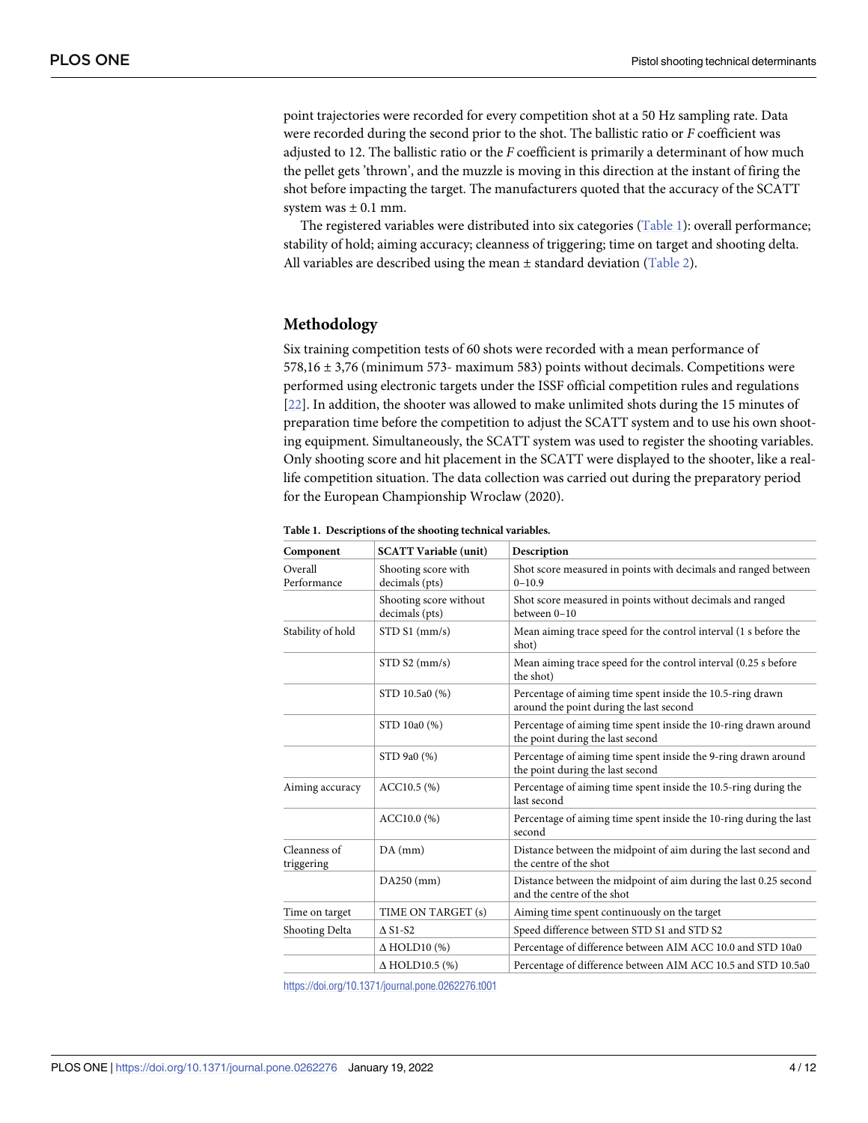<span id="page-3-0"></span>point trajectories were recorded for every competition shot at a 50 Hz sampling rate. Data were recorded during the second prior to the shot. The ballistic ratio or *F* coefficient was adjusted to 12. The ballistic ratio or the *F* coefficient is primarily a determinant of how much the pellet gets 'thrown', and the muzzle is moving in this direction at the instant of firing the shot before impacting the target. The manufacturers quoted that the accuracy of the SCATT system was  $\pm$  0.1 mm.

The registered variables were distributed into six categories (Table 1): overall performance; stability of hold; aiming accuracy; cleanness of triggering; time on target and shooting delta. All variables are described using the mean  $\pm$  standard deviation [\(Table](#page-4-0) 2).

### **Methodology**

Six training competition tests of 60 shots were recorded with a mean performance of 578,16 ± 3,76 (minimum 573- maximum 583) points without decimals. Competitions were performed using electronic targets under the ISSF official competition rules and regulations [\[22\]](#page-11-0). In addition, the shooter was allowed to make unlimited shots during the 15 minutes of preparation time before the competition to adjust the SCATT system and to use his own shooting equipment. Simultaneously, the SCATT system was used to register the shooting variables. Only shooting score and hit placement in the SCATT were displayed to the shooter, like a reallife competition situation. The data collection was carried out during the preparatory period for the European Championship Wroclaw (2020).

| Component                  | <b>SCATT Variable (unit)</b>               | Description                                                                                           |  |  |  |
|----------------------------|--------------------------------------------|-------------------------------------------------------------------------------------------------------|--|--|--|
| Overall<br>Performance     | Shooting score with<br>decimals (pts)      | Shot score measured in points with decimals and ranged between<br>$0 - 10.9$                          |  |  |  |
|                            | Shooting score without<br>decimals (pts)   | Shot score measured in points without decimals and ranged<br>between 0-10                             |  |  |  |
| Stability of hold          | $STD S1$ (mm/s)                            | Mean aiming trace speed for the control interval (1 s before the<br>shot)                             |  |  |  |
|                            | STD S2 (mm/s)                              | Mean aiming trace speed for the control interval (0.25 s before<br>the shot)                          |  |  |  |
|                            | STD 10.5a0 (%)                             | Percentage of aiming time spent inside the 10.5-ring drawn<br>around the point during the last second |  |  |  |
|                            | STD 10a0 (%)                               | Percentage of aiming time spent inside the 10-ring drawn around<br>the point during the last second   |  |  |  |
|                            | STD 9a0 (%)                                | Percentage of aiming time spent inside the 9-ring drawn around<br>the point during the last second    |  |  |  |
| Aiming accuracy            | $ACC10.5$ (%)                              | Percentage of aiming time spent inside the 10.5-ring during the<br>last second                        |  |  |  |
|                            | ACC10.0(%)                                 | Percentage of aiming time spent inside the 10-ring during the last<br>second                          |  |  |  |
| Cleanness of<br>triggering | $DA$ (mm)                                  | Distance between the midpoint of aim during the last second and<br>the centre of the shot             |  |  |  |
|                            | $DA250$ (mm)                               | Distance between the midpoint of aim during the last 0.25 second<br>and the centre of the shot        |  |  |  |
| Time on target             | TIME ON TARGET (s)                         | Aiming time spent continuously on the target                                                          |  |  |  |
| Shooting Delta             | $\triangle$ S <sub>1</sub> -S <sub>2</sub> | Speed difference between STD S1 and STD S2                                                            |  |  |  |
|                            | $\Delta$ HOLD10 (%)                        | Percentage of difference between AIM ACC 10.0 and STD 10a0                                            |  |  |  |
|                            | $\Delta$ HOLD10.5 (%)                      | Percentage of difference between AIM ACC 10.5 and STD 10.5a0                                          |  |  |  |

**Table 1. Descriptions of the shooting technical variables.**

<https://doi.org/10.1371/journal.pone.0262276.t001>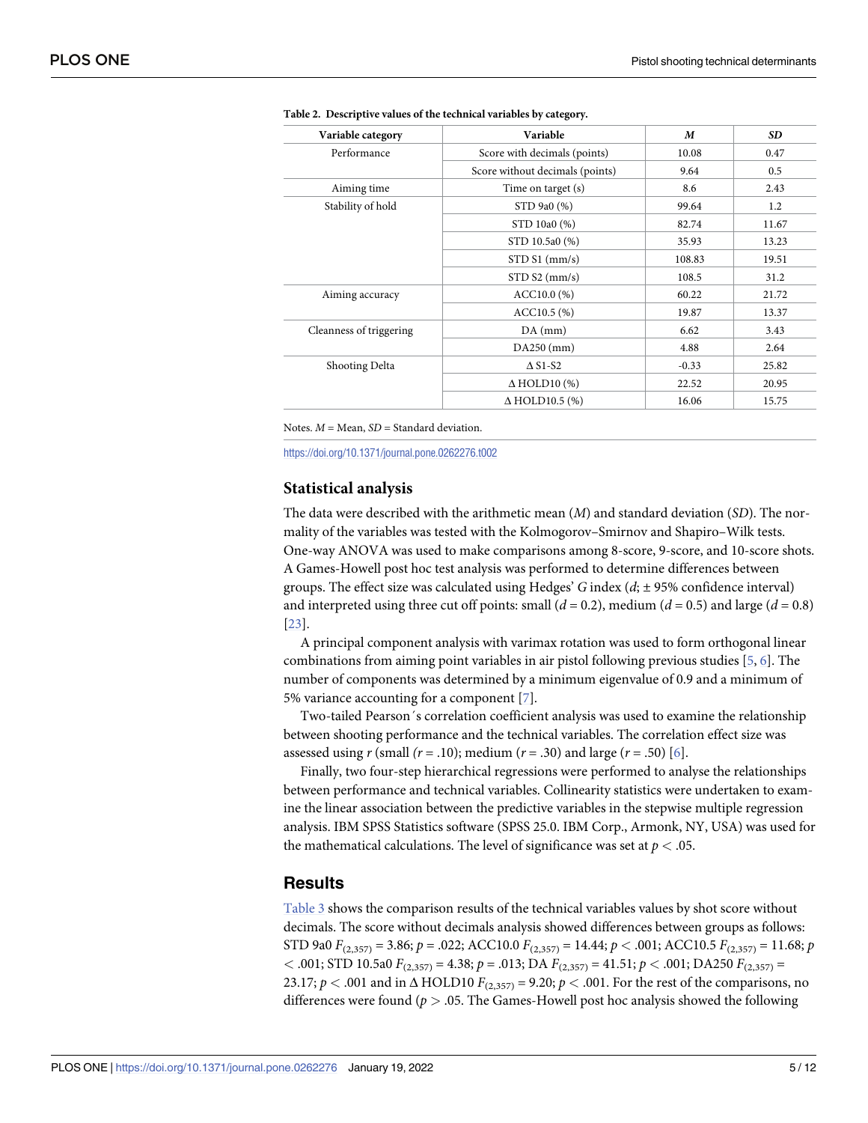| Variable category       | Variable                                | M       | <b>SD</b> |
|-------------------------|-----------------------------------------|---------|-----------|
| Performance             | Score with decimals (points)            | 10.08   | 0.47      |
|                         | Score without decimals (points)         | 9.64    | 0.5       |
| Aiming time             | Time on target (s)                      | 8.6     | 2.43      |
| Stability of hold       | STD 9a0 (%)                             | 99.64   | 1.2       |
|                         | STD 10a0 (%)                            | 82.74   | 11.67     |
|                         | STD 10.5a0 (%)                          | 35.93   | 13.23     |
|                         | $STD S1$ (mm/s)                         | 108.83  | 19.51     |
|                         | STD S2 (mm/s)                           | 108.5   | 31.2      |
| Aiming accuracy         | $ACC10.0$ (%)                           | 60.22   | 21.72     |
|                         | $ACC10.5$ (%)                           | 19.87   | 13.37     |
| Cleanness of triggering | $DA$ (mm)                               | 6.62    | 3.43      |
|                         | $DA250$ (mm)                            | 4.88    | 2.64      |
| Shooting Delta          | $\Delta$ S <sub>1</sub> -S <sub>2</sub> | $-0.33$ | 25.82     |
|                         | $\Delta$ HOLD10 (%)                     | 22.52   | 20.95     |
|                         | $\Delta$ HOLD10.5 (%)                   | 16.06   | 15.75     |

<span id="page-4-0"></span>

|  | Table 2. Descriptive values of the technical variables by category. |  |  |  |  |  |  |
|--|---------------------------------------------------------------------|--|--|--|--|--|--|
|--|---------------------------------------------------------------------|--|--|--|--|--|--|

Notes. *M* = Mean, *SD* = Standard deviation.

<https://doi.org/10.1371/journal.pone.0262276.t002>

#### **Statistical analysis**

The data were described with the arithmetic mean (*M*) and standard deviation (*SD*). The normality of the variables was tested with the Kolmogorov–Smirnov and Shapiro–Wilk tests. One-way ANOVA was used to make comparisons among 8-score, 9-score, and 10-score shots. A Games-Howell post hoc test analysis was performed to determine differences between groups. The effect size was calculated using Hedges' *G* index (*d*; ± 95% confidence interval) and interpreted using three cut off points: small  $(d = 0.2)$ , medium  $(d = 0.5)$  and large  $(d = 0.8)$ [\[23\]](#page-11-0).

A principal component analysis with varimax rotation was used to form orthogonal linear combinations from aiming point variables in air pistol following previous studies [\[5,](#page-11-0) [6](#page-11-0)]. The number of components was determined by a minimum eigenvalue of 0.9 and a minimum of 5% variance accounting for a component [[7\]](#page-11-0).

Two-tailed Pearson´s correlation coefficient analysis was used to examine the relationship between shooting performance and the technical variables. The correlation effect size was assessed using  $r$  (small  $(r = .10)$ ; medium  $(r = .30)$  and large  $(r = .50)$  [\[6](#page-11-0)].

Finally, two four-step hierarchical regressions were performed to analyse the relationships between performance and technical variables. Collinearity statistics were undertaken to examine the linear association between the predictive variables in the stepwise multiple regression analysis. IBM SPSS Statistics software (SPSS 25.0. IBM Corp., Armonk, NY, USA) was used for the mathematical calculations. The level of significance was set at  $p < .05$ .

#### **Results**

[Table](#page-5-0) 3 shows the comparison results of the technical variables values by shot score without decimals. The score without decimals analysis showed differences between groups as follows: STD 9a0  $F_{(2,357)} = 3.86$ ;  $p = .022$ ; ACC10.0  $F_{(2,357)} = 14.44$ ;  $p < .001$ ; ACC10.5  $F_{(2,357)} = 11.68$ ;  $p = .022$ *<* .001; STD 10.5a0 *F*(2,357) = 4.38; *p* = .013; DA *F*(2,357) = 41.51; *p <* .001; DA250 *F*(2,357) = 23.17;  $p < .001$  and in  $\triangle$  HOLD10  $F_{(2,357)} = 9.20$ ;  $p < .001$ . For the rest of the comparisons, no differences were found (*p >* .05. The Games-Howell post hoc analysis showed the following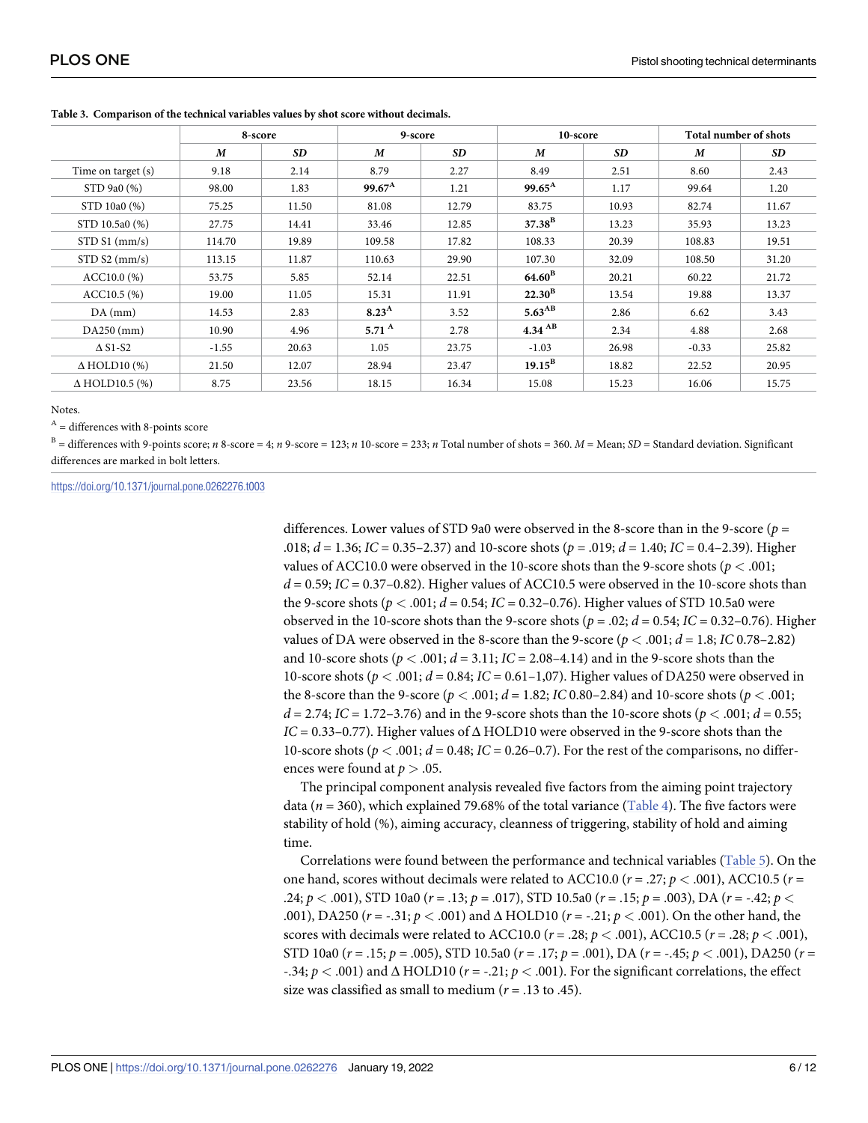|                        | 8-score |                 | 9-score            |                 | 10-score             |           | Total number of shots |                 |  |
|------------------------|---------|-----------------|--------------------|-----------------|----------------------|-----------|-----------------------|-----------------|--|
|                        | M       | SD <sub>1</sub> | M                  | SD <sub>1</sub> | M                    | <b>SD</b> | M                     | SD <sub>1</sub> |  |
| Time on target (s)     | 9.18    | 2.14            | 8.79               | 2.27            | 8.49                 | 2.51      | 8.60                  | 2.43            |  |
| STD 9a0 (%)            | 98.00   | 1.83            | $99.67^{\text{A}}$ | 1.21            | $99.65^{\text{A}}$   | 1.17      | 99.64                 | 1.20            |  |
| STD 10a0 (%)           | 75.25   | 11.50           | 81.08              | 12.79           | 83.75                | 10.93     | 82.74                 | 11.67           |  |
| STD 10.5a0 (%)         | 27.75   | 14.41           | 33.46              | 12.85           | $37.38^{\rm B}$      | 13.23     | 35.93                 | 13.23           |  |
| $STD S1$ (mm/s)        | 114.70  | 19.89           | 109.58             | 17.82           | 108.33               | 20.39     | 108.83                | 19.51           |  |
| STD S2 (mm/s)          | 113.15  | 11.87           | 110.63             | 29.90           | 107.30               | 32.09     | 108.50                | 31.20           |  |
| ACC10.0(%)             | 53.75   | 5.85            | 52.14              | 22.51           | $64.60^{\rm B}$      | 20.21     | 60.22                 | 21.72           |  |
| $ACC10.5$ (%)          | 19.00   | 11.05           | 15.31              | 11.91           | $22.30^{\rm B}$      | 13.54     | 19.88                 | 13.37           |  |
| $DA$ (mm)              | 14.53   | 2.83            | 8.23 <sup>A</sup>  | 3.52            | $5.63^{AB}$          | 2.86      | 6.62                  | 3.43            |  |
| $DA250$ (mm)           | 10.90   | 4.96            | 5.71 $^{\rm A}$    | 2.78            | $4.34$ <sup>AB</sup> | 2.34      | 4.88                  | 2.68            |  |
| $\triangle$ S1-S2      | $-1.55$ | 20.63           | 1.05               | 23.75           | $-1.03$              | 26.98     | $-0.33$               | 25.82           |  |
| $\triangle$ HOLD10 (%) | 21.50   | 12.07           | 28.94              | 23.47           | $19.15^{\rm B}$      | 18.82     | 22.52                 | 20.95           |  |
| $\Delta$ HOLD10.5 (%)  | 8.75    | 23.56           | 18.15              | 16.34           | 15.08                | 15.23     | 16.06                 | 15.75           |  |

<span id="page-5-0"></span>**[Table](#page-4-0) 3. Comparison of the technical variables values by shot score without decimals.**

Notes.

 $A =$  differences with 8-points score

 $B =$  differences with 9-points score; *n* 8-score = 4; *n* 9-score = 123; *n* 10-score = 233; *n* Total number of shots = 360. *M* = Mean; *SD* = Standard deviation. Significant differences are marked in bolt letters.

<https://doi.org/10.1371/journal.pone.0262276.t003>

differences. Lower values of STD 9a0 were observed in the 8-score than in the 9-score (*p* = .018; *d* = 1.36; *IC* = 0.35–2.37) and 10-score shots (*p* = .019; *d* = 1.40; *IC* = 0.4–2.39). Higher values of ACC10.0 were observed in the 10-score shots than the 9-score shots (*p <* .001;  $d = 0.59$ ;  $IC = 0.37 - 0.82$ ). Higher values of ACC10.5 were observed in the 10-score shots than the 9-score shots ( $p < .001$ ;  $d = 0.54$ ; *IC* = 0.32–0.76). Higher values of STD 10.5a0 were observed in the 10-score shots than the 9-score shots ( $p = .02$ ;  $d = 0.54$ ; *IC* = 0.32–0.76). Higher values of DA were observed in the 8-score than the 9-score  $(p < .001; d = 1.8; IC\,0.78-2.82)$ and 10-score shots ( $p < .001$ ;  $d = 3.11$ ;  $IC = 2.08-4.14$ ) and in the 9-score shots than the 10-score shots (*p <* .001; *d* = 0.84; *IC* = 0.61–1,07). Higher values of DA250 were observed in the 8-score than the 9-score ( $p < .001$ ;  $d = 1.82$ ; *IC* 0.80–2.84) and 10-score shots ( $p < .001$ ; *d* = 2.74; *IC* = 1.72–3.76) and in the 9-score shots than the 10-score shots ( $p < .001$ ; *d* = 0.55;  $IC = 0.33-0.77$ . Higher values of  $\Delta$  HOLD10 were observed in the 9-score shots than the 10-score shots ( $p < .001$ ;  $d = 0.48$ ;  $IC = 0.26-0.7$ ). For the rest of the comparisons, no differences were found at  $p > .05$ .

The principal component analysis revealed five factors from the aiming point trajectory data ( $n = 360$ ), which explained 79.68% of the total variance [\(Table](#page-6-0) 4). The five factors were stability of hold (%), aiming accuracy, cleanness of triggering, stability of hold and aiming time.

Correlations were found between the performance and technical variables [\(Table](#page-6-0) 5). On the one hand, scores without decimals were related to ACC10.0 (*r* = .27; *p <* .001), ACC10.5 (*r* = .24; *p <* .001), STD 10a0 (*r* = .13; *p* = .017), STD 10.5a0 (*r* = .15; *p* = .003), DA (*r* = -.42; *p <* .001), DA250 (*r* = -.31; *p <* .001) and Δ HOLD10 (*r* = -.21; *p <* .001). On the other hand, the scores with decimals were related to ACC10.0 ( $r = .28; p < .001$ ), ACC10.5 ( $r = .28; p < .001$ ), STD 10a0 (*r* = .15; *p* = .005), STD 10.5a0 (*r* = .17; *p* = .001), DA (*r* = -.45; *p <* .001), DA250 (*r* = -.34; *p <* .001) and Δ HOLD10 (*r* = -.21; *p <* .001). For the significant correlations, the effect size was classified as small to medium (*r* = .13 to .45).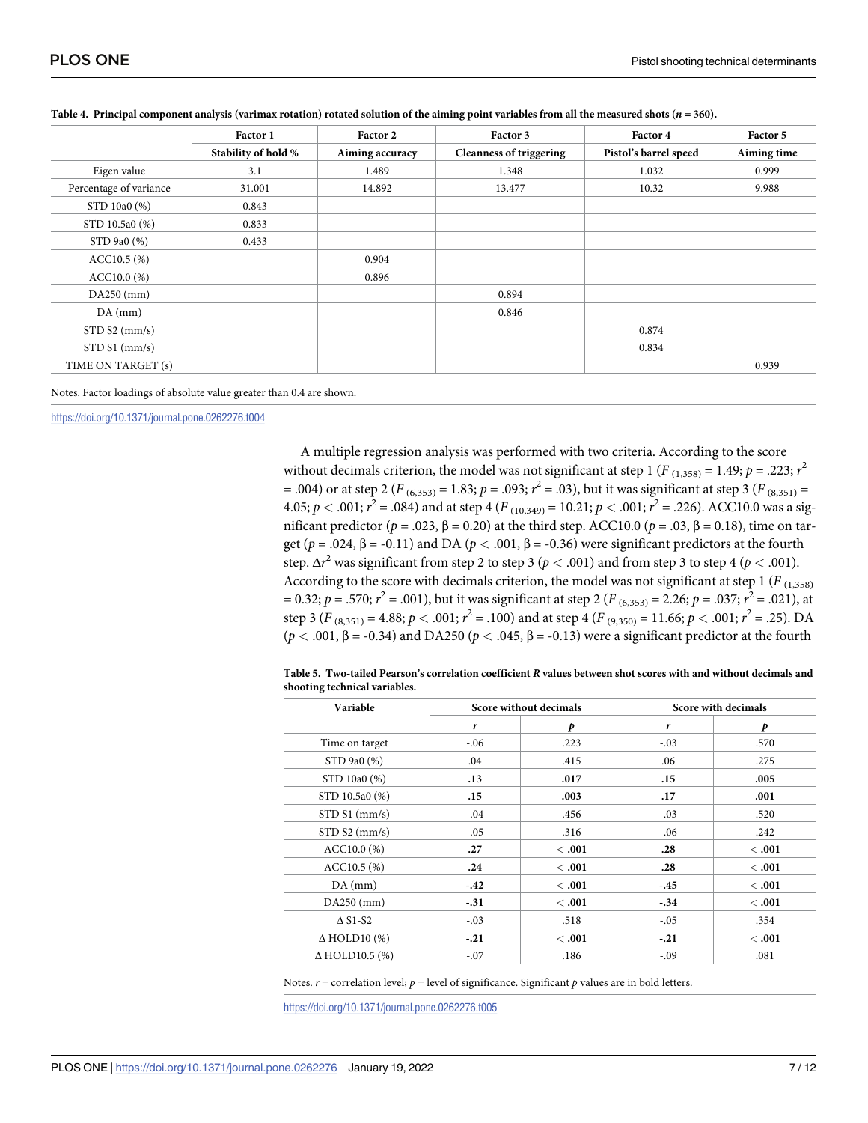|                        | Factor 1            | Factor 2        | Factor 3                       | Factor 4              | Factor 5    |
|------------------------|---------------------|-----------------|--------------------------------|-----------------------|-------------|
|                        | Stability of hold % | Aiming accuracy | <b>Cleanness of triggering</b> | Pistol's barrel speed | Aiming time |
| Eigen value            | 3.1                 | 1.489           | 1.348                          | 1.032                 | 0.999       |
| Percentage of variance | 31.001              | 14.892          | 13.477                         | 10.32                 | 9.988       |
| STD 10a0 (%)           | 0.843               |                 |                                |                       |             |
| STD 10.5a0 (%)         | 0.833               |                 |                                |                       |             |
| STD 9a0 (%)            | 0.433               |                 |                                |                       |             |
| $ACC10.5$ (%)          |                     | 0.904           |                                |                       |             |
| $ACC10.0\ (%)$         |                     | 0.896           |                                |                       |             |
| $DA250$ (mm)           |                     |                 | 0.894                          |                       |             |
| $DA$ (mm)              |                     |                 | 0.846                          |                       |             |
| STD S2 (mm/s)          |                     |                 |                                | 0.874                 |             |
| $STD S1$ (mm/s)        |                     |                 |                                | 0.834                 |             |
| TIME ON TARGET (s)     |                     |                 |                                |                       | 0.939       |

#### <span id="page-6-0"></span>[Table](#page-5-0) 4. Principal component analysis (varimax rotation) rotated solution of the aiming point variables from all the measured shots ( $n = 360$ ).

Notes. Factor loadings of absolute value greater than 0.4 are shown.

<https://doi.org/10.1371/journal.pone.0262276.t004>

A multiple regression analysis was performed with two criteria. According to the score without decimals criterion, the model was not significant at step 1 ( $F_{(1,358)} = 1.49; p = .223; r^2$  $=$  .004) or at step 2 ( $F_{(6,353)} = 1.83$ ;  $p = .093$ ;  $r^2 = .03$ ), but it was significant at step 3 ( $F_{(8,351)} =$ 4.05;  $p < .001$ ;  $r^2 = .084$ ) and at step 4 (*F* <sub>(10,349)</sub> = 10.21;  $p < .001$ ;  $r^2 = .226$ ). ACC10.0 was a significant predictor ( $p = .023$ , β = 0.20) at the third step. ACC10.0 ( $p = .03$ , β = 0.18), time on target ( $p = .024$ ,  $\beta = -0.11$ ) and DA ( $p < .001$ ,  $\beta = -0.36$ ) were significant predictors at the fourth step. Δ*r* <sup>2</sup> was significant from step 2 to step 3 (*p <* .001) and from step 3 to step 4 (*p <* .001). According to the score with decimals criterion, the model was not significant at step  $1 (F_{(1,358)}$  $= 0.32; p = .570; r<sup>2</sup> = .001$ , but it was significant at step 2 (*F* <sub>(6,353)</sub> = 2.26; *p* = .037; *r*<sup>2</sup> = .021), at step 3 ( $F_{(8,351)} = 4.88; p < .001; r^2 = .100$ ) and at step 4 ( $F_{(9,350)} = 11.66; p < .001; r^2 = .25$ ). DA  $(p < .001, \beta = .0.34)$  and DA250  $(p < .045, \beta = .0.13)$  were a significant predictor at the fourth

| Table 5.  Two-tailed Pearson's correlation coefficient R values between shot scores with and without decimals and |  |  |
|-------------------------------------------------------------------------------------------------------------------|--|--|
| shooting technical variables.                                                                                     |  |  |

| Variable                                |        | Score without decimals | Score with decimals |        |  |
|-----------------------------------------|--------|------------------------|---------------------|--------|--|
|                                         | r      | p                      | r                   | p      |  |
| Time on target                          | $-.06$ | .223                   | $-.03$              | .570   |  |
| STD 9a0 (%)                             | .04    | .415                   | .06                 | .275   |  |
| STD 10a0 (%)                            | .13    | .017                   | .15                 | .005   |  |
| STD 10.5a0 (%)                          | .15    | .003                   | .17                 | .001   |  |
| $STD S1$ (mm/s)                         | $-.04$ | .456                   | $-.03$              | .520   |  |
| STD S2 (mm/s)                           | $-.05$ | .316                   | $-.06$              | .242   |  |
| ACC10.0(%)                              | .27    | < .001                 | .28                 | < .001 |  |
| ACC10.5(%)                              | .24    | < .001                 | .28                 | < .001 |  |
| $DA$ (mm)                               | $-.42$ | <.001                  | $-.45$              | <.001  |  |
| $DA250$ (mm)                            | $-.31$ | <.001                  | $-.34$              | <.001  |  |
| $\Delta$ S <sub>1</sub> -S <sub>2</sub> | $-.03$ | .518                   | $-.05$              | .354   |  |
| $\Delta$ HOLD10 (%)                     | $-.21$ | <.001                  | $-.21$              | < .001 |  |
| $\Delta$ HOLD10.5 (%)                   | $-.07$ | .186                   | $-.09$              | .081   |  |

Notes.  $r$  = correlation level;  $p$  = level of significance. Significant  $p$  values are in bold letters.

<https://doi.org/10.1371/journal.pone.0262276.t005>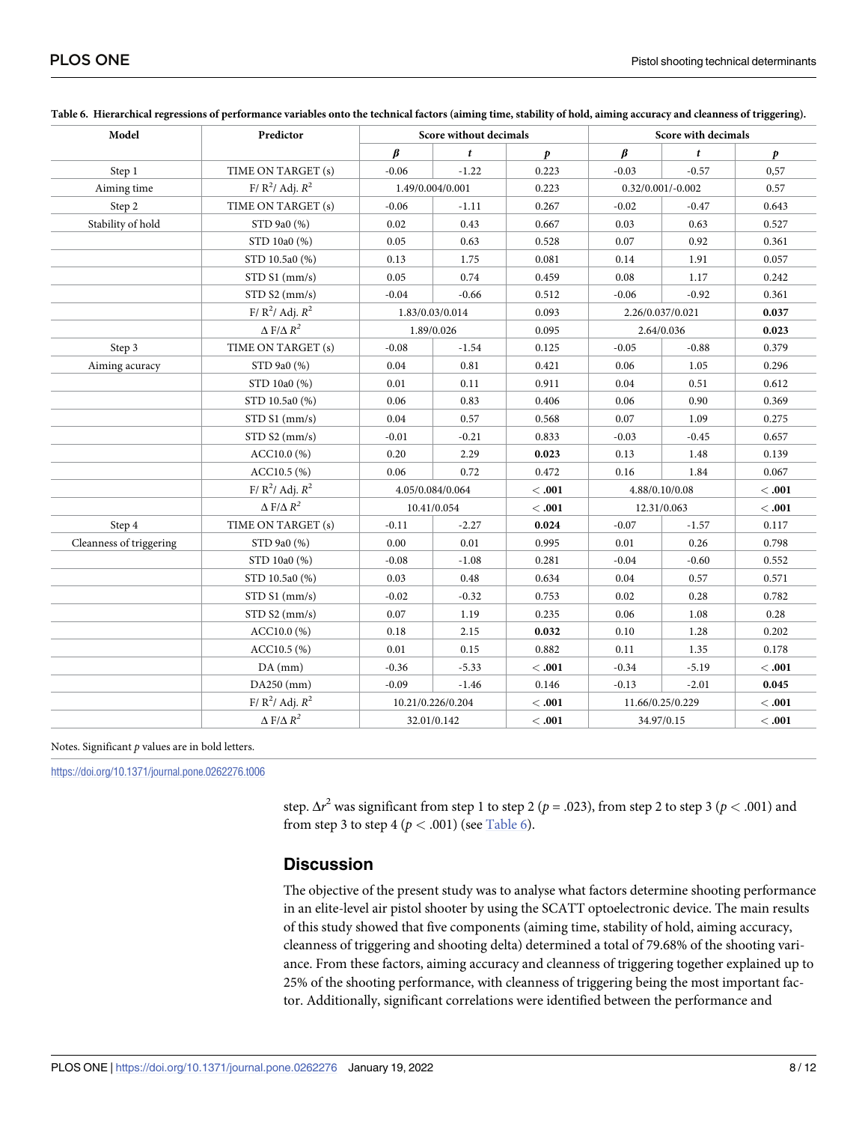| Model                   | Predictor                  |                  | Score without decimals |         |                     | Score with decimals |         |
|-------------------------|----------------------------|------------------|------------------------|---------|---------------------|---------------------|---------|
|                         |                            | $\beta$          | $\mathbf{f}$           | D       | $\beta$             | $\mathbf{t}$        | p       |
| Step 1                  | TIME ON TARGET (s)         | $-0.06$          | $-1.22$                | 0.223   | $-0.03$             | $-0.57$             | 0,57    |
| Aiming time             | F/ $R^2$ / Adj. $R^2$      |                  | 1.49/0.004/0.001       |         | $0.32/0.001/-0.002$ |                     | 0.57    |
| Step 2                  | TIME ON TARGET (s)         | $-0.06$          | $-1.11$                | 0.267   | $-0.02$             | $-0.47$             | 0.643   |
| Stability of hold       | STD 9a0 (%)                | 0.02             | 0.43                   | 0.667   | 0.03                | 0.63                | 0.527   |
|                         | STD 10a0 (%)               | 0.05             | 0.63                   | 0.528   | 0.07                | 0.92                | 0.361   |
|                         | STD 10.5a0 (%)             | 0.13             | 1.75                   | 0.081   | 0.14                | 1.91                | 0.057   |
|                         | $STD S1$ (mm/s)            | 0.05             | 0.74                   | 0.459   | 0.08                | 1.17                | 0.242   |
|                         | STD S2 (mm/s)              | $-0.04$          | $-0.66$                | 0.512   | $-0.06$             | $-0.92$             | 0.361   |
|                         | F/ $R^2$ / Adj. $R^2$      |                  | 1.83/0.03/0.014        | 0.093   |                     | 2.26/0.037/0.021    | 0.037   |
|                         | $\Delta$ F/ $\Delta$ $R^2$ |                  | 1.89/0.026             | 0.095   |                     | 2.64/0.036          | 0.023   |
| Step 3                  | TIME ON TARGET (s)         | $-0.08$          | $-1.54$                | 0.125   | $-0.05$             | $-0.88$             | 0.379   |
| Aiming acuracy          | STD 9a0 (%)                | 0.04             | 0.81                   | 0.421   | 0.06                | 1.05                | 0.296   |
|                         | STD 10a0 (%)               | 0.01             | 0.11                   | 0.911   | 0.04                | 0.51                | 0.612   |
|                         | STD 10.5a0 (%)             | 0.06             | 0.83                   | 0.406   | 0.06                | 0.90                | 0.369   |
|                         | $STD S1$ (mm/s)            | 0.04             | 0.57                   | 0.568   | 0.07                | 1.09                | 0.275   |
|                         | STD S2 (mm/s)              | $-0.01$          | $-0.21$                | 0.833   | $-0.03$             | $-0.45$             | 0.657   |
|                         | ACC10.0(%)                 | 0.20             | 2.29                   | 0.023   | 0.13                | 1.48                | 0.139   |
|                         | $ACC10.5$ (%)              | 0.06             | 0.72                   | 0.472   | 0.16                | 1.84                | 0.067   |
|                         | F/ $R^2$ / Adj. $R^2$      | 4.05/0.084/0.064 |                        | < .001  | 4.88/0.10/0.08      |                     | < .001  |
|                         | $\Delta$ F/ $\Delta$ $R^2$ |                  | 10.41/0.054            | < 0.001 |                     | 12.31/0.063         | < 0.001 |
| Step 4                  | TIME ON TARGET (s)         | $-0.11$          | $-2.27$                | 0.024   | $-0.07$             | $-1.57$             | 0.117   |
| Cleanness of triggering | STD 9a0 (%)                | 0.00             | 0.01                   | 0.995   | 0.01                | 0.26                | 0.798   |
|                         | STD 10a0 (%)               | $-0.08$          | $-1.08$                | 0.281   | $-0.04$             | $-0.60$             | 0.552   |
|                         | STD 10.5a0 (%)             | 0.03             | 0.48                   | 0.634   | 0.04                | 0.57                | 0.571   |
|                         | $STD S1$ (mm/s)            | $-0.02$          | $-0.32$                | 0.753   | 0.02                | 0.28                | 0.782   |
|                         | STD S2 (mm/s)              | 0.07             | 1.19                   | 0.235   | 0.06                | 1.08                | 0.28    |
|                         | ACC10.0 (%)                | 0.18             | 2.15                   | 0.032   | 0.10                | 1.28                | 0.202   |
|                         | $ACC10.5$ (%)              | 0.01             | 0.15                   | 0.882   | 0.11                | 1.35                | 0.178   |
|                         | $DA$ (mm)                  | $-0.36$          | $-5.33$                | < .001  | $-0.34$             | $-5.19$             | < .001  |
|                         | $DA250$ (mm)               | $-0.09$          | $-1.46$                | 0.146   | $-0.13$             | $-2.01$             | 0.045   |
|                         | F/ $R^2$ / Adj. $R^2$      |                  | 10.21/0.226/0.204      | < .001  |                     | 11.66/0.25/0.229    | < .001  |
|                         | $\Delta$ F/ $\Delta$ $R^2$ |                  | 32.01/0.142            | < 0.001 |                     | 34.97/0.15          | < .001  |

#### Table 6. Hierarchical regressions of performance variables onto the technical factors (aiming time, stability of hold, aiming accuracy and cleanness of triggering).

Notes. Significant *p* values are in bold letters.

<https://doi.org/10.1371/journal.pone.0262276.t006>

step. Δ*r* <sup>2</sup> was significant from step 1 to step 2 (*p* = .023), from step 2 to step 3 (*p <* .001) and from step 3 to step 4 ( $p < .001$ ) (see Table 6).

## **Discussion**

The objective of the present study was to analyse what factors determine shooting performance in an elite-level air pistol shooter by using the SCATT optoelectronic device. The main results of this study showed that five components (aiming time, stability of hold, aiming accuracy, cleanness of triggering and shooting delta) determined a total of 79.68% of the shooting variance. From these factors, aiming accuracy and cleanness of triggering together explained up to 25% of the shooting performance, with cleanness of triggering being the most important factor. Additionally, significant correlations were identified between the performance and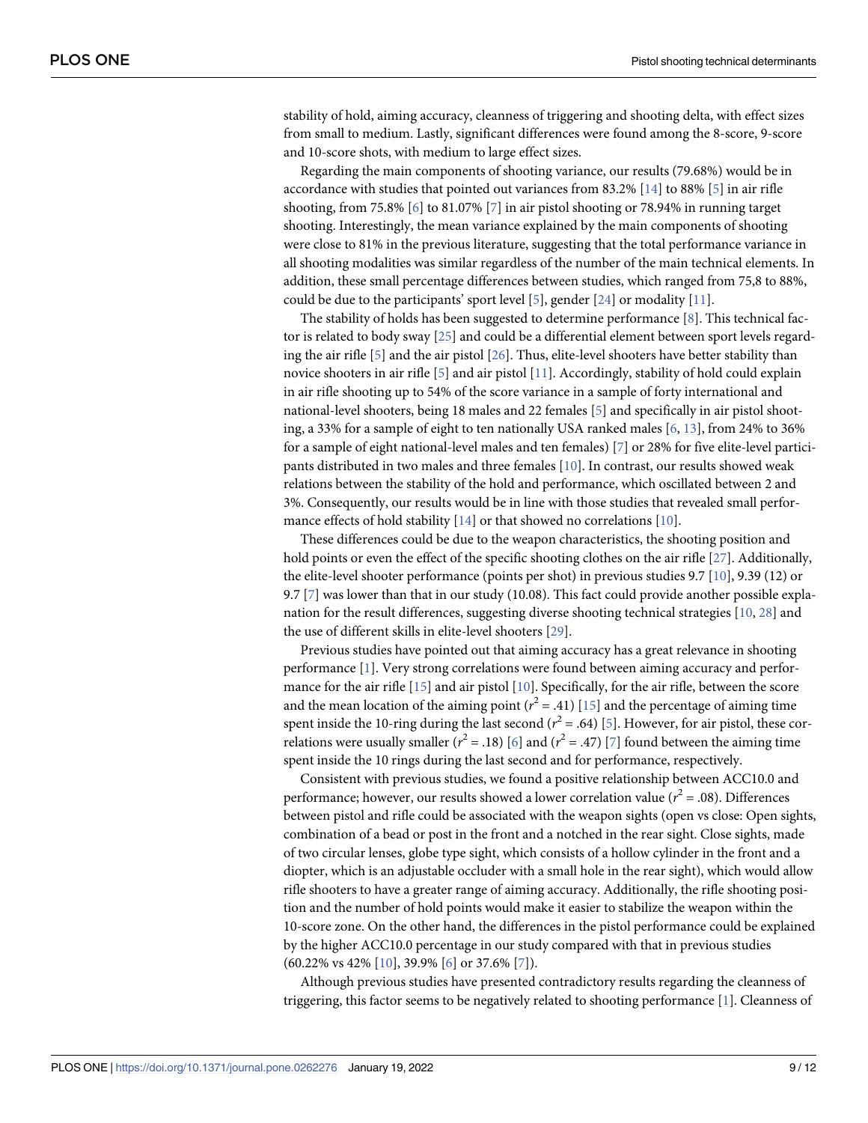<span id="page-8-0"></span>stability of hold, aiming accuracy, cleanness of triggering and shooting delta, with effect sizes from small to medium. Lastly, significant differences were found among the 8-score, 9-score and 10-score shots, with medium to large effect sizes.

Regarding the main components of shooting variance, our results (79.68%) would be in accordance with studies that pointed out variances from 83.2% [[14](#page-11-0)] to 88% [[5\]](#page-11-0) in air rifle shooting, from 75.8% [\[6\]](#page-11-0) to 81.07% [\[7\]](#page-11-0) in air pistol shooting or 78.94% in running target shooting. Interestingly, the mean variance explained by the main components of shooting were close to 81% in the previous literature, suggesting that the total performance variance in all shooting modalities was similar regardless of the number of the main technical elements. In addition, these small percentage differences between studies, which ranged from 75,8 to 88%, could be due to the participants' sport level [\[5\]](#page-11-0), gender [[24](#page-11-0)] or modality [\[11\]](#page-11-0).

The stability of holds has been suggested to determine performance [\[8\]](#page-11-0). This technical factor is related to body sway [\[25\]](#page-11-0) and could be a differential element between sport levels regarding the air rifle [\[5\]](#page-11-0) and the air pistol [\[26\]](#page-11-0). Thus, elite-level shooters have better stability than novice shooters in air rifle [\[5\]](#page-11-0) and air pistol [\[11\]](#page-11-0). Accordingly, stability of hold could explain in air rifle shooting up to 54% of the score variance in a sample of forty international and national-level shooters, being 18 males and 22 females [\[5\]](#page-11-0) and specifically in air pistol shooting, a 33% for a sample of eight to ten nationally USA ranked males [[6,](#page-11-0) [13\]](#page-11-0), from 24% to 36% for a sample of eight national-level males and ten females) [\[7](#page-11-0)] or 28% for five elite-level participants distributed in two males and three females [[10](#page-11-0)]. In contrast, our results showed weak relations between the stability of the hold and performance, which oscillated between 2 and 3%. Consequently, our results would be in line with those studies that revealed small perfor-mance effects of hold stability [\[14\]](#page-11-0) or that showed no correlations [[10](#page-11-0)].

These differences could be due to the weapon characteristics, the shooting position and hold points or even the effect of the specific shooting clothes on the air rifle [\[27\]](#page-11-0). Additionally, the elite-level shooter performance (points per shot) in previous studies 9.7 [\[10\]](#page-11-0), 9.39 (12) or 9.7 [\[7](#page-11-0)] was lower than that in our study (10.08). This fact could provide another possible explanation for the result differences, suggesting diverse shooting technical strategies [\[10,](#page-11-0) [28\]](#page-11-0) and the use of different skills in elite-level shooters [\[29\]](#page-11-0).

Previous studies have pointed out that aiming accuracy has a great relevance in shooting performance [[1\]](#page-10-0). Very strong correlations were found between aiming accuracy and performance for the air rifle [[15](#page-11-0)] and air pistol [[10](#page-11-0)]. Specifically, for the air rifle, between the score and the mean location of the aiming point ( $r^2$  = .41) [\[15\]](#page-11-0) and the percentage of aiming time spent inside the 10-ring during the last second  $(r^2 = .64)$  [[5](#page-11-0)]. However, for air pistol, these correlations were usually smaller  $(r^2 = .18)$  [[6\]](#page-11-0) and  $(r^2 = .47)$  [\[7\]](#page-11-0) found between the aiming time spent inside the 10 rings during the last second and for performance, respectively.

Consistent with previous studies, we found a positive relationship between ACC10.0 and performance; however, our results showed a lower correlation value (*r* <sup>2</sup> = .08). Differences between pistol and rifle could be associated with the weapon sights (open vs close: Open sights, combination of a bead or post in the front and a notched in the rear sight. Close sights, made of two circular lenses, globe type sight, which consists of a hollow cylinder in the front and a diopter, which is an adjustable occluder with a small hole in the rear sight), which would allow rifle shooters to have a greater range of aiming accuracy. Additionally, the rifle shooting position and the number of hold points would make it easier to stabilize the weapon within the 10-score zone. On the other hand, the differences in the pistol performance could be explained by the higher ACC10.0 percentage in our study compared with that in previous studies (60.22% vs 42% [\[10\]](#page-11-0), 39.9% [[6](#page-11-0)] or 37.6% [[7](#page-11-0)]).

Although previous studies have presented contradictory results regarding the cleanness of triggering, this factor seems to be negatively related to shooting performance [[1\]](#page-10-0). Cleanness of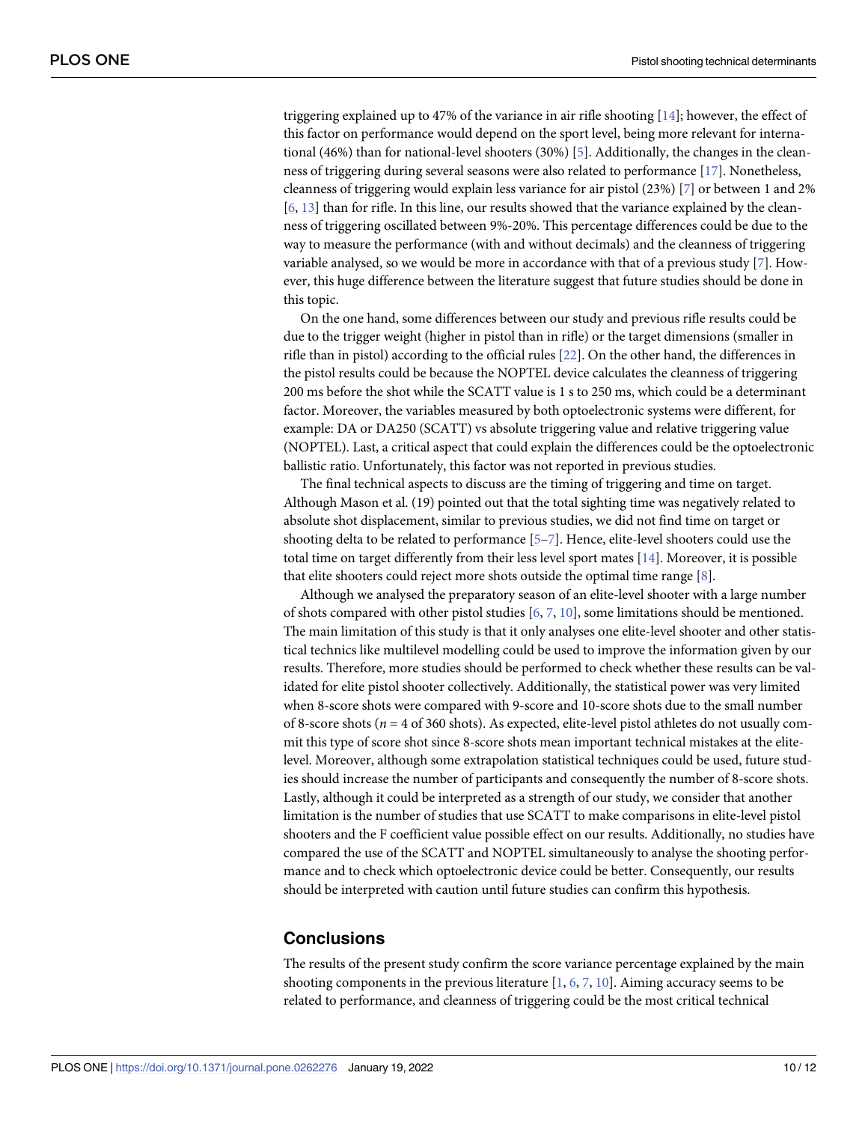<span id="page-9-0"></span>triggering explained up to 47% of the variance in air rifle shooting [\[14\]](#page-11-0); however, the effect of this factor on performance would depend on the sport level, being more relevant for interna-tional (46%) than for national-level shooters (30%) [\[5\]](#page-11-0). Additionally, the changes in the cleanness of triggering during several seasons were also related to performance [\[17\]](#page-11-0). Nonetheless, cleanness of triggering would explain less variance for air pistol (23%) [\[7](#page-11-0)] or between 1 and 2% [\[6](#page-11-0), [13](#page-11-0)] than for rifle. In this line, our results showed that the variance explained by the cleanness of triggering oscillated between 9%-20%. This percentage differences could be due to the way to measure the performance (with and without decimals) and the cleanness of triggering variable analysed, so we would be more in accordance with that of a previous study [[7](#page-11-0)]. However, this huge difference between the literature suggest that future studies should be done in this topic.

On the one hand, some differences between our study and previous rifle results could be due to the trigger weight (higher in pistol than in rifle) or the target dimensions (smaller in rifle than in pistol) according to the official rules [[22](#page-11-0)]. On the other hand, the differences in the pistol results could be because the NOPTEL device calculates the cleanness of triggering 200 ms before the shot while the SCATT value is 1 s to 250 ms, which could be a determinant factor. Moreover, the variables measured by both optoelectronic systems were different, for example: DA or DA250 (SCATT) vs absolute triggering value and relative triggering value (NOPTEL). Last, a critical aspect that could explain the differences could be the optoelectronic ballistic ratio. Unfortunately, this factor was not reported in previous studies.

The final technical aspects to discuss are the timing of triggering and time on target. Although Mason et al. (19) pointed out that the total sighting time was negatively related to absolute shot displacement, similar to previous studies, we did not find time on target or shooting delta to be related to performance [[5–7\]](#page-11-0). Hence, elite-level shooters could use the total time on target differently from their less level sport mates [[14](#page-11-0)]. Moreover, it is possible that elite shooters could reject more shots outside the optimal time range [[8](#page-11-0)].

Although we analysed the preparatory season of an elite-level shooter with a large number of shots compared with other pistol studies  $[6, 7, 10]$  $[6, 7, 10]$  $[6, 7, 10]$  $[6, 7, 10]$  $[6, 7, 10]$  $[6, 7, 10]$ , some limitations should be mentioned. The main limitation of this study is that it only analyses one elite-level shooter and other statistical technics like multilevel modelling could be used to improve the information given by our results. Therefore, more studies should be performed to check whether these results can be validated for elite pistol shooter collectively. Additionally, the statistical power was very limited when 8-score shots were compared with 9-score and 10-score shots due to the small number of 8-score shots (*n* = 4 of 360 shots). As expected, elite-level pistol athletes do not usually commit this type of score shot since 8-score shots mean important technical mistakes at the elitelevel. Moreover, although some extrapolation statistical techniques could be used, future studies should increase the number of participants and consequently the number of 8-score shots. Lastly, although it could be interpreted as a strength of our study, we consider that another limitation is the number of studies that use SCATT to make comparisons in elite-level pistol shooters and the F coefficient value possible effect on our results. Additionally, no studies have compared the use of the SCATT and NOPTEL simultaneously to analyse the shooting performance and to check which optoelectronic device could be better. Consequently, our results should be interpreted with caution until future studies can confirm this hypothesis.

#### **Conclusions**

The results of the present study confirm the score variance percentage explained by the main shooting components in the previous literature  $[1, 6, 7, 10]$  $[1, 6, 7, 10]$  $[1, 6, 7, 10]$  $[1, 6, 7, 10]$  $[1, 6, 7, 10]$  $[1, 6, 7, 10]$  $[1, 6, 7, 10]$  $[1, 6, 7, 10]$ . Aiming accuracy seems to be related to performance, and cleanness of triggering could be the most critical technical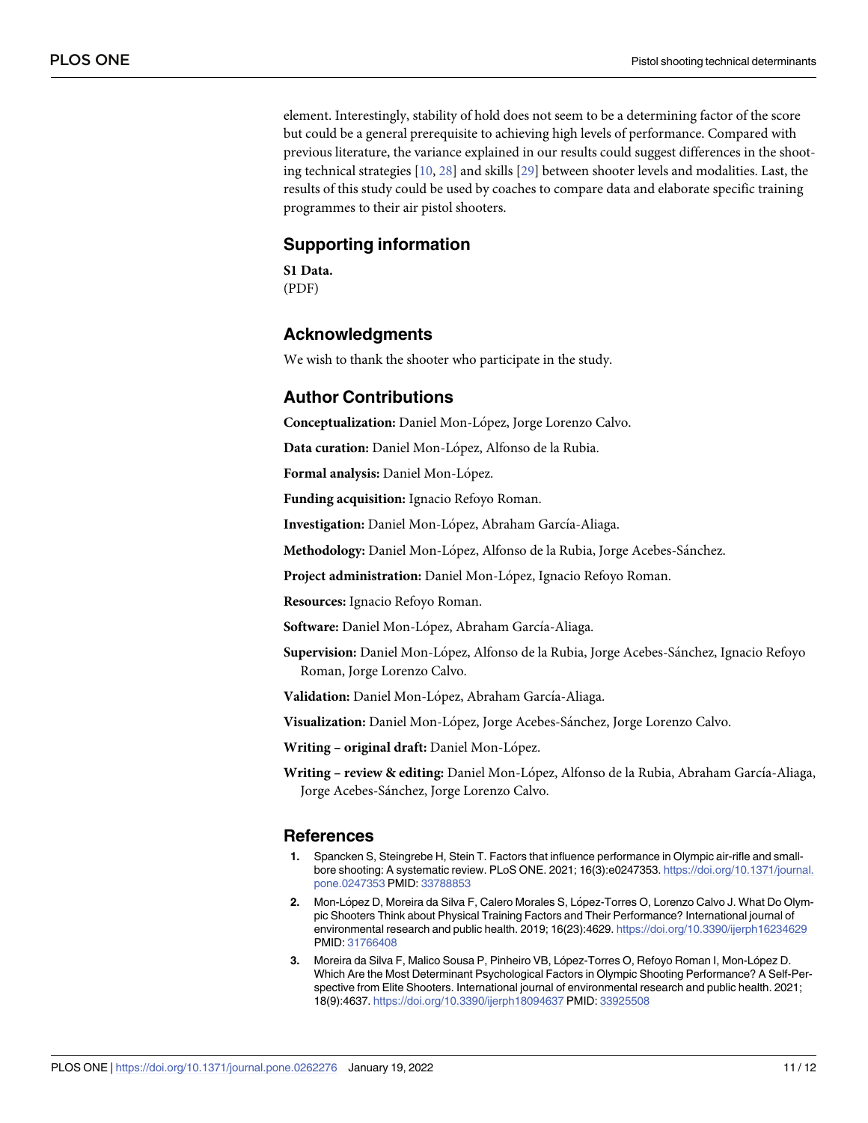<span id="page-10-0"></span>element. Interestingly, stability of hold does not seem to be a determining factor of the score but could be a general prerequisite to achieving high levels of performance. Compared with previous literature, the variance explained in our results could suggest differences in the shooting technical strategies [[10](#page-11-0), [28](#page-11-0)] and skills [[29](#page-11-0)] between shooter levels and modalities. Last, the results of this study could be used by coaches to compare data and elaborate specific training programmes to their air pistol shooters.

### **Supporting information**

**S1 [Data](http://www.plosone.org/article/fetchSingleRepresentation.action?uri=info:doi/10.1371/journal.pone.0262276.s001).** (PDF)

### **Acknowledgments**

We wish to thank the shooter who participate in the study.

### **Author Contributions**

**Conceptualization:** Daniel Mon-Lo´pez, Jorge Lorenzo Calvo.

**Data curation:** Daniel Mon-López, Alfonso de la Rubia.

Formal analysis: Daniel Mon-López.

**Funding acquisition:** Ignacio Refoyo Roman.

Investigation: Daniel Mon-López, Abraham García-Aliaga.

Methodology: Daniel Mon-López, Alfonso de la Rubia, Jorge Acebes-Sánchez.

Project administration: Daniel Mon-López, Ignacio Refoyo Roman.

**Resources:** Ignacio Refoyo Roman.

**Software:** Daniel Mon-López, Abraham García-Aliaga.

Supervision: Daniel Mon-López, Alfonso de la Rubia, Jorge Acebes-Sánchez, Ignacio Refoyo Roman, Jorge Lorenzo Calvo.

Validation: Daniel Mon-López, Abraham García-Aliaga.

Visualization: Daniel Mon-López, Jorge Acebes-Sánchez, Jorge Lorenzo Calvo.

**Writing – original draft:** Daniel Mon-Lo´pez.

**Writing – review & editing:** Daniel Mon-Lo´pez, Alfonso de la Rubia, Abraham Garcı´a-Aliaga, Jorge Acebes-Sánchez, Jorge Lorenzo Calvo.

#### **References**

- **[1](#page-1-0).** Spancken S, Steingrebe H, Stein T. Factors that influence performance in Olympic air-rifle and smallbore shooting: A systematic review. PLoS ONE. 2021; 16(3):e0247353. [https://doi.org/10.1371/journal.](https://doi.org/10.1371/journal.pone.0247353) [pone.0247353](https://doi.org/10.1371/journal.pone.0247353) PMID: [33788853](http://www.ncbi.nlm.nih.gov/pubmed/33788853)
- **[2](#page-0-0).** Mon-López D, Moreira da Silva F, Calero Morales S, López-Torres O, Lorenzo Calvo J. What Do Olympic Shooters Think about Physical Training Factors and Their Performance? International journal of environmental research and public health. 2019; 16(23):4629. <https://doi.org/10.3390/ijerph16234629> PMID: [31766408](http://www.ncbi.nlm.nih.gov/pubmed/31766408)
- **[3](#page-0-0).** Moreira da Silva F, Malico Sousa P, Pinheiro VB, López-Torres O, Refoyo Roman I, Mon-López D. Which Are the Most Determinant Psychological Factors in Olympic Shooting Performance? A Self-Perspective from Elite Shooters. International journal of environmental research and public health. 2021; 18(9):4637. <https://doi.org/10.3390/ijerph18094637> PMID: [33925508](http://www.ncbi.nlm.nih.gov/pubmed/33925508)